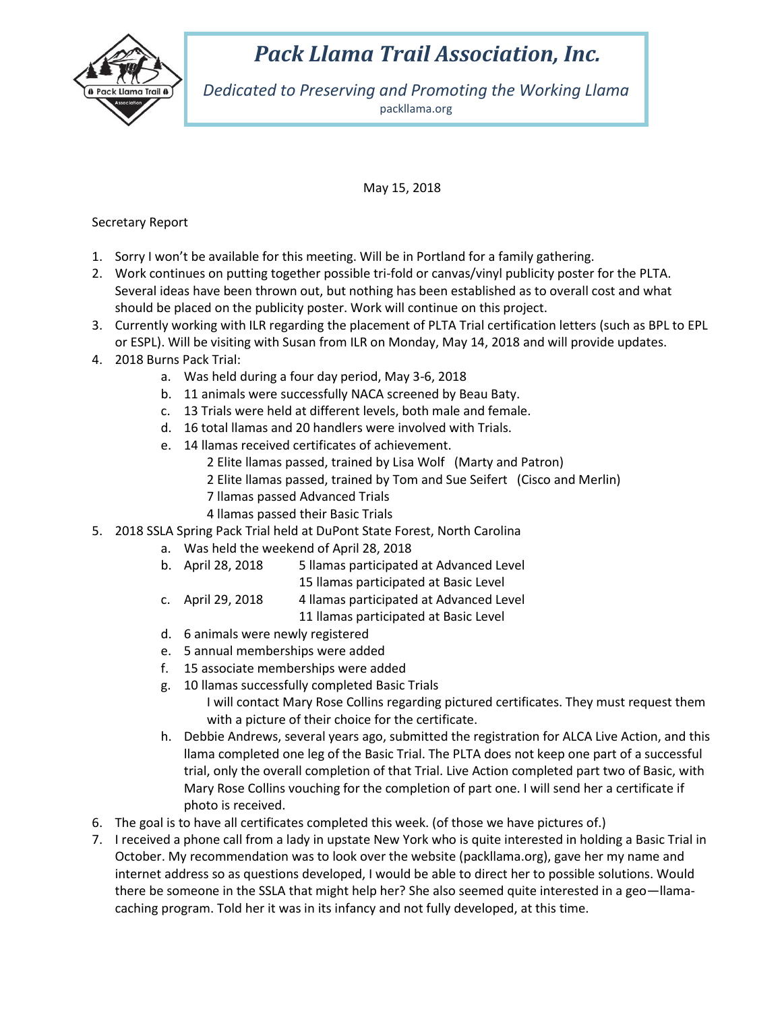

## *Pack Llama Trail Association, Inc.*

*Dedicated to Preserving and Promoting the Working Llama* packllama.org

## May 15, 2018

## Secretary Report

- 1. Sorry I won't be available for this meeting. Will be in Portland for a family gathering.
- 2. Work continues on putting together possible tri-fold or canvas/vinyl publicity poster for the PLTA. Several ideas have been thrown out, but nothing has been established as to overall cost and what should be placed on the publicity poster. Work will continue on this project.
- 3. Currently working with ILR regarding the placement of PLTA Trial certification letters (such as BPL to EPL or ESPL). Will be visiting with Susan from ILR on Monday, May 14, 2018 and will provide updates.
- 4. 2018 Burns Pack Trial:
	- a. Was held during a four day period, May 3-6, 2018
	- b. 11 animals were successfully NACA screened by Beau Baty.
	- c. 13 Trials were held at different levels, both male and female.
	- d. 16 total llamas and 20 handlers were involved with Trials.
	- e. 14 llamas received certificates of achievement.
		- 2 Elite llamas passed, trained by Lisa Wolf (Marty and Patron)
		- 2 Elite llamas passed, trained by Tom and Sue Seifert (Cisco and Merlin)
		- 7 llamas passed Advanced Trials
		- 4 llamas passed their Basic Trials
- 5. 2018 SSLA Spring Pack Trial held at DuPont State Forest, North Carolina
	- a. Was held the weekend of April 28, 2018
	- b. April 28, 2018 5 llamas participated at Advanced Level
		- 15 llamas participated at Basic Level
	- c. April 29, 2018 4 llamas participated at Advanced Level
		- 11 llamas participated at Basic Level
	- d. 6 animals were newly registered
	- e. 5 annual memberships were added
	- f. 15 associate memberships were added
	- g. 10 llamas successfully completed Basic Trials
		- I will contact Mary Rose Collins regarding pictured certificates. They must request them with a picture of their choice for the certificate.
	- h. Debbie Andrews, several years ago, submitted the registration for ALCA Live Action, and this llama completed one leg of the Basic Trial. The PLTA does not keep one part of a successful trial, only the overall completion of that Trial. Live Action completed part two of Basic, with Mary Rose Collins vouching for the completion of part one. I will send her a certificate if photo is received.
- 6. The goal is to have all certificates completed this week. (of those we have pictures of.)
- 7. I received a phone call from a lady in upstate New York who is quite interested in holding a Basic Trial in October. My recommendation was to look over the website (packllama.org), gave her my name and internet address so as questions developed, I would be able to direct her to possible solutions. Would there be someone in the SSLA that might help her? She also seemed quite interested in a geo—llamacaching program. Told her it was in its infancy and not fully developed, at this time.